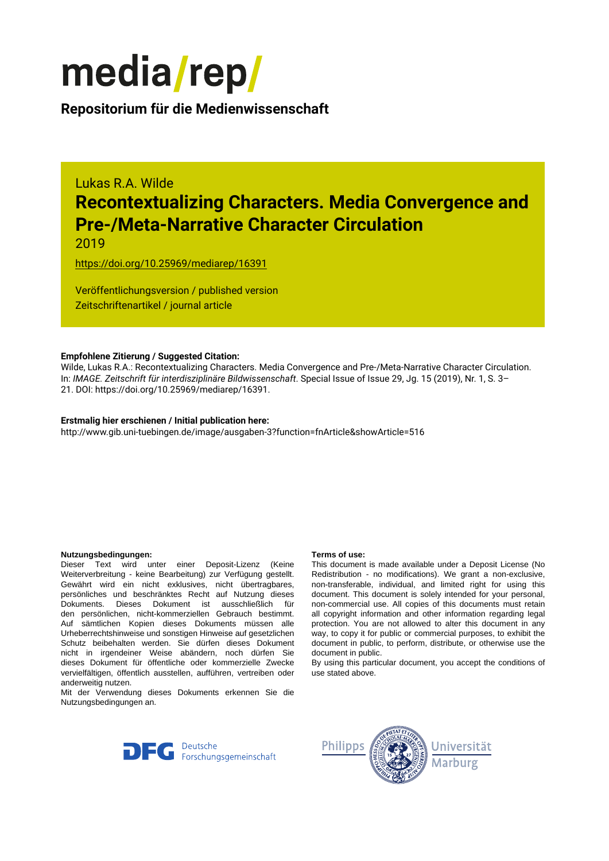

### **Repositorium für die [Medienwissenschaft](https://mediarep.org)**

## Lukas R.A. Wilde **Recontextualizing Characters. Media Convergence and Pre-/Meta-Narrative Character Circulation**

2019

<https://doi.org/10.25969/mediarep/16391>

Veröffentlichungsversion / published version Zeitschriftenartikel / journal article

#### **Empfohlene Zitierung / Suggested Citation:**

Wilde, Lukas R.A.: Recontextualizing Characters. Media Convergence and Pre-/Meta-Narrative Character Circulation. In: *IMAGE. Zeitschrift für interdisziplinäre Bildwissenschaft*. Special Issue of Issue 29, Jg. 15 (2019), Nr. 1, S. 3– 21. DOI: https://doi.org/10.25969/mediarep/16391.

#### **Erstmalig hier erschienen / Initial publication here:**

http://www.gib.uni-tuebingen.de/image/ausgaben-3?function=fnArticle&showArticle=516

#### **Nutzungsbedingungen: Terms of use:**

Dieser Text wird unter einer Deposit-Lizenz (Keine Weiterverbreitung - keine Bearbeitung) zur Verfügung gestellt. Gewährt wird ein nicht exklusives, nicht übertragbares, persönliches und beschränktes Recht auf Nutzung dieses Dokuments. Dieses Dokument ist ausschließlich für den persönlichen, nicht-kommerziellen Gebrauch bestimmt. Auf sämtlichen Kopien dieses Dokuments müssen alle Urheberrechtshinweise und sonstigen Hinweise auf gesetzlichen Schutz beibehalten werden. Sie dürfen dieses Dokument nicht in irgendeiner Weise abändern, noch dürfen Sie dieses Dokument für öffentliche oder kommerzielle Zwecke vervielfältigen, öffentlich ausstellen, aufführen, vertreiben oder anderweitig nutzen.

Mit der Verwendung dieses Dokuments erkennen Sie die Nutzungsbedingungen an.

This document is made available under a Deposit License (No Redistribution - no modifications). We grant a non-exclusive, non-transferable, individual, and limited right for using this document. This document is solely intended for your personal, non-commercial use. All copies of this documents must retain all copyright information and other information regarding legal protection. You are not allowed to alter this document in any way, to copy it for public or commercial purposes, to exhibit the document in public, to perform, distribute, or otherwise use the document in public.

By using this particular document, you accept the conditions of use stated above.



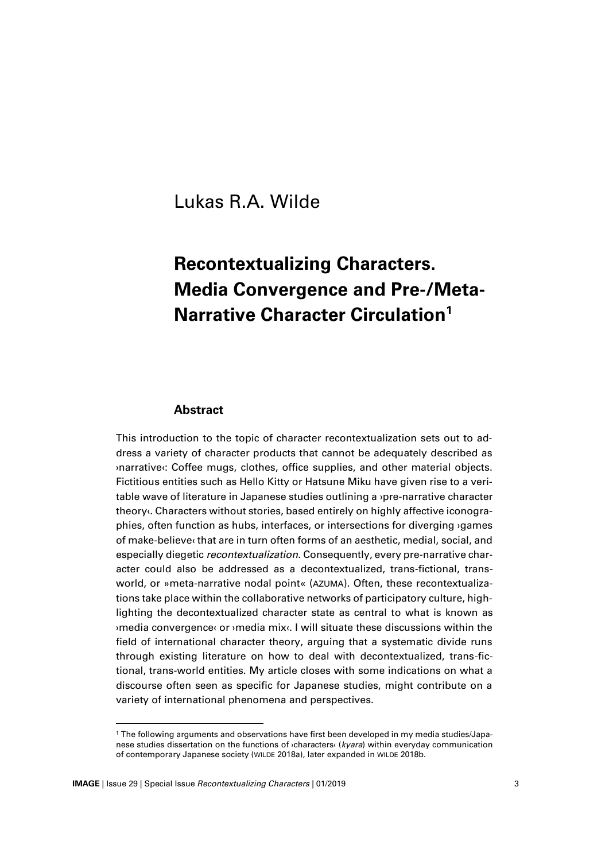### Lukas R.A. Wilde

# **Recontextualizing Characters. Media Convergence and Pre-/Meta-Narrative Character Circulation<sup>1</sup>**

#### **Abstract**

This introduction to the topic of character recontextualization sets out to address a variety of character products that cannot be adequately described as ›narrative‹: Coffee mugs, clothes, office supplies, and other material objects. Fictitious entities such as Hello Kitty or Hatsune Miku have given rise to a veritable wave of literature in Japanese studies outlining a ›pre-narrative character theory‹. Characters without stories, based entirely on highly affective iconographies, often function as hubs, interfaces, or intersections for diverging ›games of make-believe‹ that are in turn often forms of an aesthetic, medial, social, and especially diegetic *recontextualization*. Consequently, every pre-narrative character could also be addressed as a decontextualized, trans-fictional, transworld, or »meta-narrative nodal point« (AZUMA). Often, these recontextualizations take place within the collaborative networks of participatory culture, highlighting the decontextualized character state as central to what is known as ›media convergence‹ or ›media mix‹. I will situate these discussions within the field of international character theory, arguing that a systematic divide runs through existing literature on how to deal with decontextualized, trans-fictional, trans-world entities. My article closes with some indications on what a discourse often seen as specific for Japanese studies, might contribute on a variety of international phenomena and perspectives.

<sup>1</sup> The following arguments and observations have first been developed in my media studies/Japanese studies dissertation on the functions of ›characters‹ (*kyara*) within everyday communication of contemporary Japanese society (WILDE 2018a), later expanded in WILDE 2018b.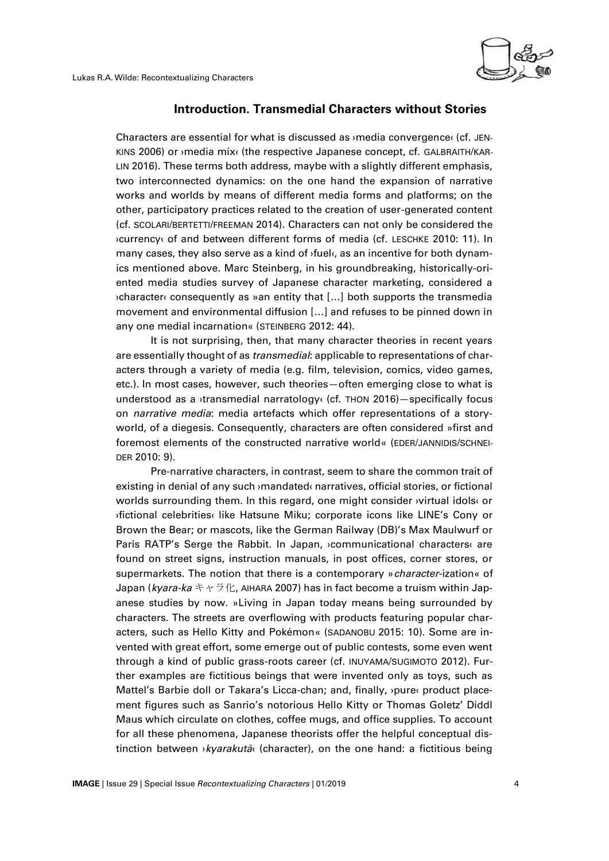

#### **Introduction. Transmedial Characters without Stories**

Characters are essential for what is discussed as ›media convergence‹ (cf. JEN-KINS 2006) or ›media mix‹ (the respective Japanese concept, cf. GALBRAITH/KAR-LIN 2016). These terms both address, maybe with a slightly different emphasis, two interconnected dynamics: on the one hand the expansion of narrative works and worlds by means of different media forms and platforms; on the other, participatory practices related to the creation of user-generated content (cf. SCOLARI/BERTETTI/FREEMAN 2014). Characters can not only be considered the ›currency‹ of and between different forms of media (cf. LESCHKE 2010: 11). In many cases, they also serve as a kind of  $\delta$  tuelo, as an incentive for both dynamics mentioned above. Marc Steinberg, in his groundbreaking, historically-oriented media studies survey of Japanese character marketing, considered a ›character‹ consequently as »an entity that […] both supports the transmedia movement and environmental diffusion […] and refuses to be pinned down in any one medial incarnation« (STEINBERG 2012: 44).

It is not surprising, then, that many character theories in recent years are essentially thought of as *transmedial*: applicable to representations of characters through a variety of media (e.g. film, television, comics, video games, etc.). In most cases, however, such theories—often emerging close to what is understood as a ›transmedial narratology‹ (cf. THON 2016)—specifically focus on *narrative media*: media artefacts which offer representations of a storyworld, of a diegesis. Consequently, characters are often considered »first and foremost elements of the constructed narrative world« (EDER/JANNIDIS/SCHNEI-DER 2010: 9).

Pre-narrative characters, in contrast, seem to share the common trait of existing in denial of any such ›mandated‹ narratives, official stories, or fictional worlds surrounding them. In this regard, one might consider ›virtual idols‹ or ›fictional celebrities‹ like Hatsune Miku; corporate icons like LINE's Cony or Brown the Bear; or mascots, like the German Railway (DB)'s Max Maulwurf or Paris RATP's Serge the Rabbit. In Japan, ›communicational characters‹ are found on street signs, instruction manuals, in post offices, corner stores, or supermarkets. The notion that there is a contemporary »*character*-ization« of Japan (*kyara-ka* キャラ化, AIHARA 2007) has in fact become a truism within Japanese studies by now. »Living in Japan today means being surrounded by characters. The streets are overflowing with products featuring popular characters, such as Hello Kitty and Pokémon« (SADANOBU 2015: 10). Some are invented with great effort, some emerge out of public contests, some even went through a kind of public grass-roots career (cf. INUYAMA/SUGIMOTO 2012). Further examples are fictitious beings that were invented only as toys, such as Mattel's Barbie doll or Takara's Licca-chan; and, finally, ›pure‹ product placement figures such as Sanrio's notorious Hello Kitty or Thomas Goletz' Diddl Maus which circulate on clothes, coffee mugs, and office supplies. To account for all these phenomena, Japanese theorists offer the helpful conceptual distinction between ›*kyarakutā*‹ (character), on the one hand: a fictitious being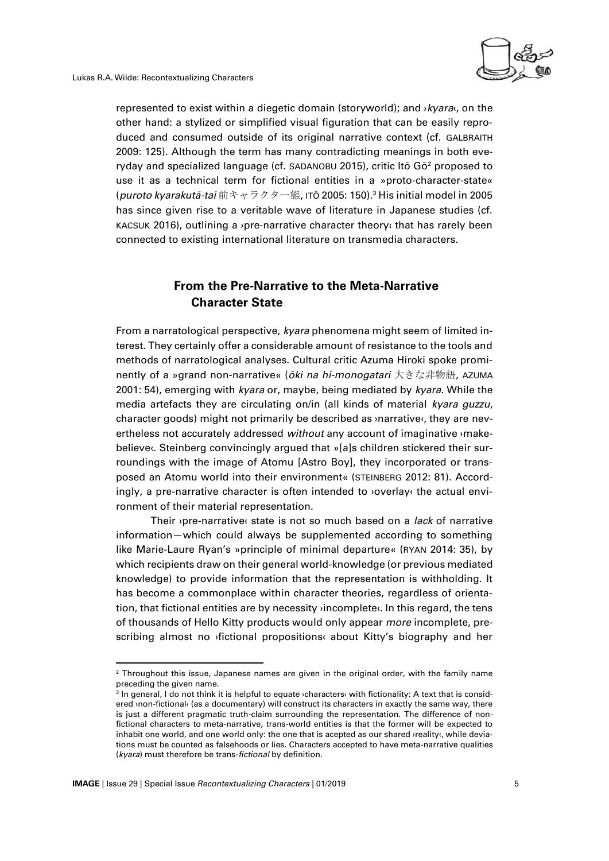

represented to exist within a diegetic domain (storyworld); and ›*kyara*‹, on the other hand: a stylized or simplified visual figuration that can be easily reproduced and consumed outside of its original narrative context (cf. GALBRAITH 2009: 125). Although the term has many contradicting meanings in both everyday and specialized language (cf. SADANOBU 2015), critic Ito  $G\bar{\sigma}^2$  proposed to use it as a technical term for fictional entities in a »proto-character-state« (*puroto kyarakutā-tai* 前キャラクター態, ITŌ 2005: 150).<sup>3</sup> His initial model in 2005 has since given rise to a veritable wave of literature in Japanese studies (cf. KACSUK 2016), outlining a <sub>'</sub>pre-narrative character theory that has rarely been connected to existing international literature on transmedia characters.

#### **From the Pre-Narrative to the Meta-Narrative Character State**

From a narratological perspective, *kyara* phenomena might seem of limited interest. They certainly offer a considerable amount of resistance to the tools and methods of narratological analyses. Cultural critic Azuma Hiroki spoke prominently of a »grand non-narrative« (*ōki na hi-monogatari* 大きな非物語, AZUMA 2001: 54), emerging with *kyara* or, maybe, being mediated by *kyara*. While the media artefacts they are circulating on/in (all kinds of material *kyara guzzu*, character goods) might not primarily be described as ›narrative‹, they are nevertheless not accurately addressed *without* any account of imaginative ›makebelieve‹. Steinberg convincingly argued that »[a]s children stickered their surroundings with the image of Atomu [Astro Boy], they incorporated or transposed an Atomu world into their environment« (STEINBERG 2012: 81). Accordingly, a pre-narrative character is often intended to ›overlay‹ the actual environment of their material representation.

Their ›pre-narrative‹ state is not so much based on a *lack* of narrative information—which could always be supplemented according to something like Marie-Laure Ryan's »principle of minimal departure« (RYAN 2014: 35), by which recipients draw on their general world-knowledge (or previous mediated knowledge) to provide information that the representation is withholding. It has become a commonplace within character theories, regardless of orientation, that fictional entities are by necessity ›incomplete‹. In this regard, the tens of thousands of Hello Kitty products would only appear *more* incomplete, prescribing almost no ›fictional propositions‹ about Kitty's biography and her

 $\overline{a}$ 

 $2$  Throughout this issue, Japanese names are given in the original order, with the family name preceding the given name.

 $^3$  In general, I do not think it is helpful to equate ›characters‹ with fictionality: A text that is considered ›non-fictional‹ (as a documentary) will construct its characters in exactly the same way, there is just a different pragmatic truth-claim surrounding the representation. The difference of nonfictional characters to meta-narrative, trans-world entities is that the former will be expected to inhabit one world, and one world only: the one that is acepted as our shared ›reality‹, while deviations must be counted as falsehoods or lies. Characters accepted to have meta-narrative qualities (*kyara*) must therefore be trans-*fictional* by definition.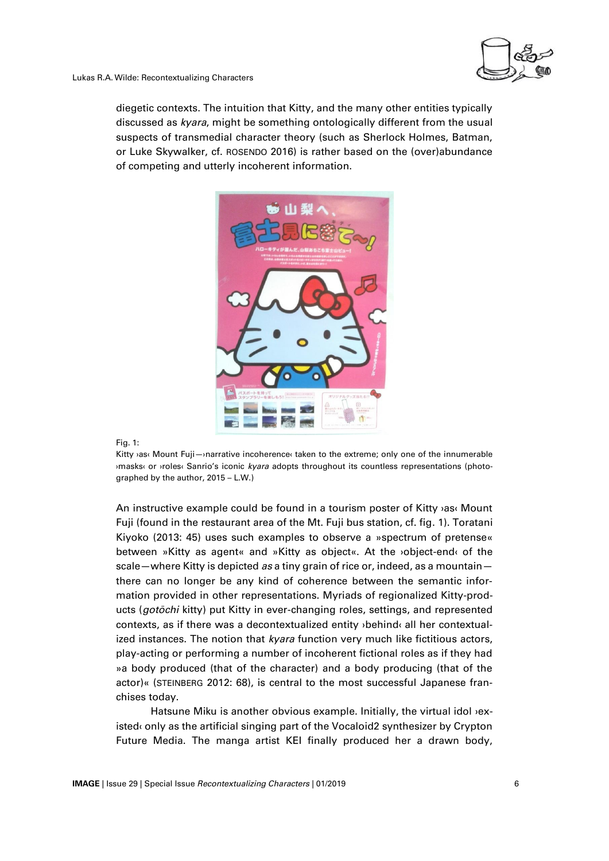

diegetic contexts. The intuition that Kitty, and the many other entities typically discussed as *kyara*, might be something ontologically different from the usual suspects of transmedial character theory (such as Sherlock Holmes, Batman, or Luke Skywalker, cf. ROSENDO 2016) is rather based on the (over)abundance of competing and utterly incoherent information.



Fig. 1:

Kitty ›as‹ Mount Fuji—›narrative incoherence‹ taken to the extreme; only one of the innumerable ›masks‹ or ›roles‹ Sanrio's iconic *kyara* adopts throughout its countless representations (photographed by the author, 2015 – L.W.)

An instructive example could be found in a tourism poster of Kitty ›as‹ Mount Fuji (found in the restaurant area of the Mt. Fuji bus station, cf. fig. 1). Toratani Kiyoko (2013: 45) uses such examples to observe a »spectrum of pretense« between »Kitty as agent« and »Kitty as object«. At the ›object-end‹ of the scale—where Kitty is depicted *as* a tiny grain of rice or, indeed, as a mountain there can no longer be any kind of coherence between the semantic information provided in other representations. Myriads of regionalized Kitty-products (*gotōchi* kitty) put Kitty in ever-changing roles, settings, and represented contexts, as if there was a decontextualized entity ›behind‹ all her contextualized instances. The notion that *kyara* function very much like fictitious actors, play-acting or performing a number of incoherent fictional roles as if they had »a body produced (that of the character) and a body producing (that of the actor)« (STEINBERG 2012: 68), is central to the most successful Japanese franchises today.

Hatsune Miku is another obvious example. Initially, the virtual idol **>ex**isted‹ only as the artificial singing part of the Vocaloid2 synthesizer by Crypton Future Media. The manga artist KEI finally produced her a drawn body,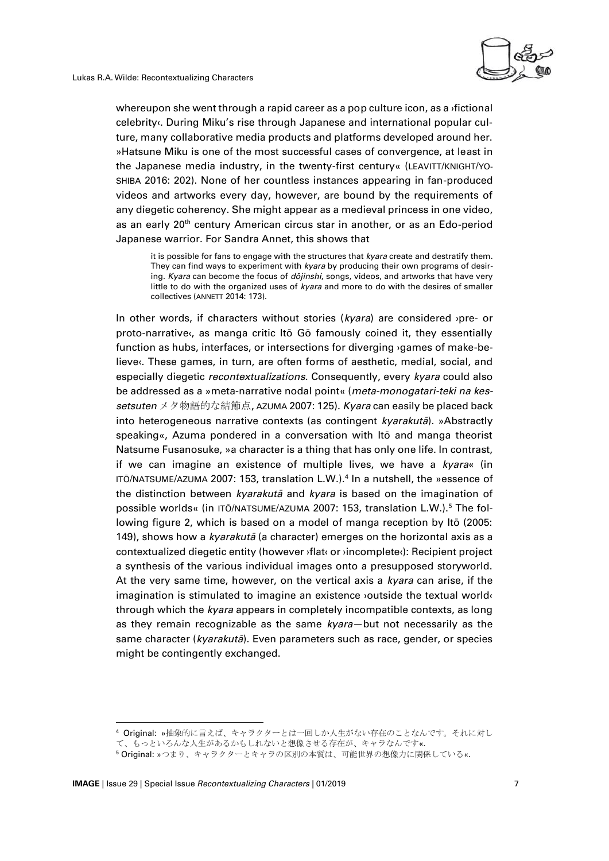

whereupon she went through a rapid career as a pop culture icon, as a ›fictional celebrity‹. During Miku's rise through Japanese and international popular culture, many collaborative media products and platforms developed around her. »Hatsune Miku is one of the most successful cases of convergence, at least in the Japanese media industry, in the twenty-first century« (LEAVITT/KNIGHT/YO-SHIBA 2016: 202). None of her countless instances appearing in fan-produced videos and artworks every day, however, are bound by the requirements of any diegetic coherency. She might appear as a medieval princess in one video, as an early 20th century American circus star in another, or as an Edo-period Japanese warrior. For Sandra Annet, this shows that

it is possible for fans to engage with the structures that *kyara* create and destratify them. They can find ways to experiment with *kyara* by producing their own programs of desiring. *Kyara* can become the focus of *dōjinshi*, songs, videos, and artworks that have very little to do with the organized uses of *kyara* and more to do with the desires of smaller collectives (ANNETT 2014: 173).

In other words, if characters without stories (*kyara*) are considered ›pre- or proto-narrative‹, as manga critic Itō Gō famously coined it, they essentially function as hubs, interfaces, or intersections for diverging ›games of make-believe‹. These games, in turn, are often forms of aesthetic, medial, social, and especially diegetic *recontextualizations*. Consequently, every *kyara* could also be addressed as a »meta-narrative nodal point« (*meta-monogatari-teki na kessetsuten* メタ物語的な結節点, AZUMA 2007: 125). *Kyara* can easily be placed back into heterogeneous narrative contexts (as contingent *kyarakutā*). »Abstractly speaking«, Azuma pondered in a conversation with Itō and manga theorist Natsume Fusanosuke, »a character is a thing that has only one life. In contrast, if we can imagine an existence of multiple lives, we have a *kyara*« (in ITŌ/NATSUME/AZUMA 2007: 153, translation L.W.).<sup>4</sup> In a nutshell, the »essence of the distinction between *kyarakutā* and *kyara* is based on the imagination of possible worlds« (in ITO/NATSUME/AZUMA 2007: 153, translation L.W.).<sup>5</sup> The following figure 2, which is based on a model of manga reception by Itō (2005: 149), shows how a *kyarakutā* (a character) emerges on the horizontal axis as a contextualized diegetic entity (however ›flat‹ or ›incomplete‹): Recipient project a synthesis of the various individual images onto a presupposed storyworld. At the very same time, however, on the vertical axis a *kyara* can arise, if the imagination is stimulated to imagine an existence ›outside the textual world‹ through which the *kyara* appears in completely incompatible contexts, as long as they remain recognizable as the same *kyara*—but not necessarily as the same character (*kyarakutā*). Even parameters such as race, gender, or species might be contingently exchanged.

 $\overline{a}$ 

<sup>4</sup> Original: »抽象的に言えば、キャラクターとは一回しか人生がない存在のことなんです。それに対し

て、もっといろんな人生があるかもしれないと想像させる存在が、キャラなんです。

<sup>5</sup> Original: »つまり、キャラクターとキャラの区別の本質は、可能世界の想像力に関係している«.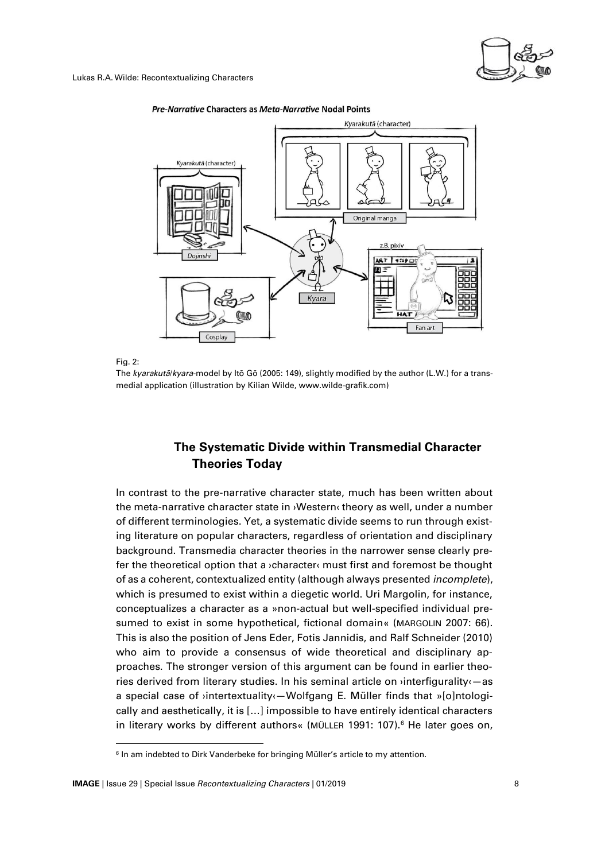



#### Pre-Narrative Characters as Meta-Narrative Nodal Points

Fig. 2:

 $\overline{a}$ 

The *kyarakutā*/*kyara*-model by Itō Gō (2005: 149), slightly modified by the author (L.W.) for a transmedial application (illustration by Kilian Wilde, www.wilde-grafik.com)

#### **The Systematic Divide within Transmedial Character Theories Today**

In contrast to the pre-narrative character state, much has been written about the meta-narrative character state in ›Western‹ theory as well, under a number of different terminologies. Yet, a systematic divide seems to run through existing literature on popular characters, regardless of orientation and disciplinary background. Transmedia character theories in the narrower sense clearly prefer the theoretical option that a ›character‹ must first and foremost be thought of as a coherent, contextualized entity (although always presented *incomplete*), which is presumed to exist within a diegetic world. Uri Margolin, for instance, conceptualizes a character as a »non-actual but well-specified individual presumed to exist in some hypothetical, fictional domain« (MARGOLIN 2007: 66). This is also the position of Jens Eder, Fotis Jannidis, and Ralf Schneider (2010) who aim to provide a consensus of wide theoretical and disciplinary approaches. The stronger version of this argument can be found in earlier theories derived from literary studies. In his seminal article on ›interfigurality‹—as a special case of *v*intertextuality<sup>*(*-Wolfgang E. Müller finds that »[o]ntologi-</sup> cally and aesthetically, it is […] impossible to have entirely identical characters in literary works by different authors« (MÜLLER 1991: 107).<sup>6</sup> He later goes on,

 $^{\rm 6}$  In am indebted to Dirk Vanderbeke for bringing Müller's article to my attention.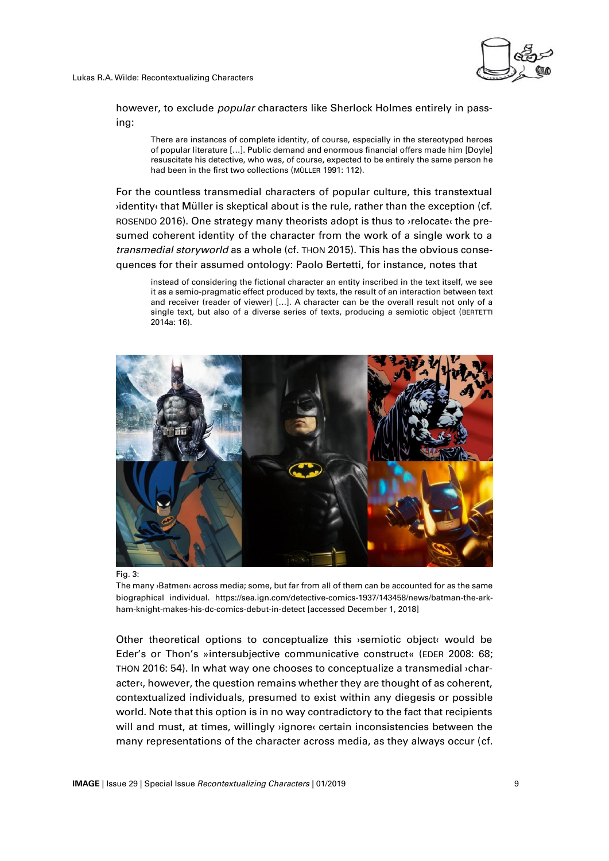

however, to exclude *popular* characters like Sherlock Holmes entirely in passing:

There are instances of complete identity, of course, especially in the stereotyped heroes of popular literature […]. Public demand and enormous financial offers made him [Doyle] resuscitate his detective, who was, of course, expected to be entirely the same person he had been in the first two collections (MÜLLER 1991: 112).

For the countless transmedial characters of popular culture, this transtextual ›identity‹ that Müller is skeptical about is the rule, rather than the exception (cf. ROSENDO 2016). One strategy many theorists adopt is thus to ›relocate‹ the presumed coherent identity of the character from the work of a single work to a *transmedial storyworld* as a whole (cf. THON 2015). This has the obvious consequences for their assumed ontology: Paolo Bertetti, for instance, notes that

instead of considering the fictional character an entity inscribed in the text itself, we see it as a semio-pragmatic effect produced by texts, the result of an interaction between text and receiver (reader of viewer) […]. A character can be the overall result not only of a single text, but also of a diverse series of texts, producing a semiotic object (BERTETTI  $2014a \cdot 16$ 





The many ›Batmen‹ across media; some, but far from all of them can be accounted for as the same biographical individual. https://sea.ign.com/detective-comics-1937/143458/news/batman-the-arkham-knight-makes-his-dc-comics-debut-in-detect [accessed December 1, 2018]

Other theoretical options to conceptualize this ›semiotic object‹ would be Eder's or Thon's »intersubjective communicative construct« (EDER 2008: 68; THON 2016: 54). In what way one chooses to conceptualize a transmedial ›character«, however, the question remains whether they are thought of as coherent, contextualized individuals, presumed to exist within any diegesis or possible world. Note that this option is in no way contradictory to the fact that recipients will and must, at times, willingly ›ignore‹ certain inconsistencies between the many representations of the character across media, as they always occur (cf.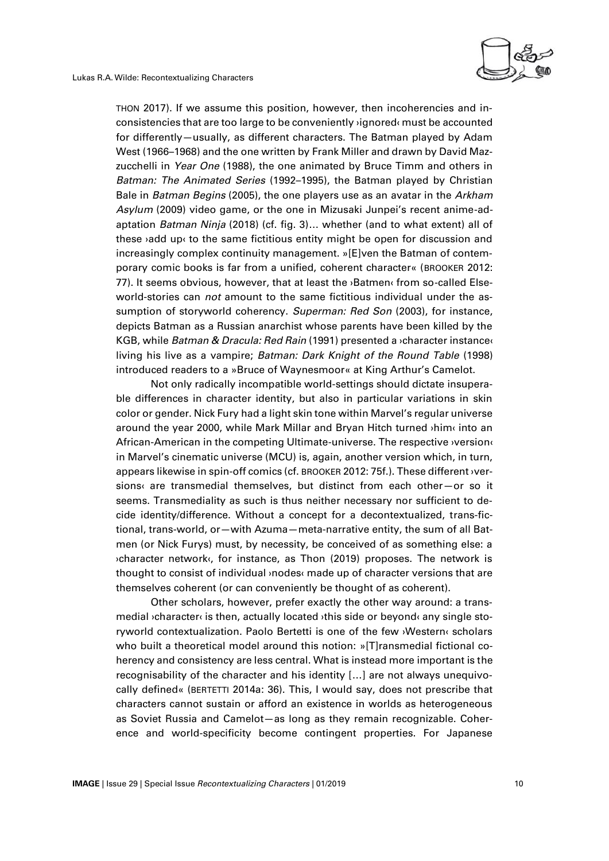

THON 2017). If we assume this position, however, then incoherencies and inconsistencies that are too large to be conveniently ›ignored‹ must be accounted for differently—usually, as different characters. The Batman played by Adam West (1966–1968) and the one written by Frank Miller and drawn by David Mazzucchelli in *Year One* (1988), the one animated by Bruce Timm and others in *Batman: The Animated Series* (1992–1995), the Batman played by Christian Bale in *Batman Begins* (2005), the one players use as an avatar in the *Arkham Asylum* (2009) video game, or the one in Mizusaki Junpei's recent anime-adaptation *Batman Ninja* (2018) (cf. fig. 3)… whether (and to what extent) all of these  $\delta$ add up $\delta$  to the same fictitious entity might be open for discussion and increasingly complex continuity management. »[E]ven the Batman of contemporary comic books is far from a unified, coherent character« (BROOKER 2012: 77). It seems obvious, however, that at least the **Batmen** from so-called Elseworld-stories can *not* amount to the same fictitious individual under the assumption of storyworld coherency. *Superman: Red Son* (2003), for instance, depicts Batman as a Russian anarchist whose parents have been killed by the KGB, while *Batman & Dracula: Red Rain* (1991) presented a ›character instance‹ living his live as a vampire; *Batman: Dark Knight of the Round Table* (1998) introduced readers to a »Bruce of Waynesmoor« at King Arthur's Camelot.

Not only radically incompatible world-settings should dictate insuperable differences in character identity, but also in particular variations in skin color or gender. Nick Fury had a light skin tone within Marvel's regular universe around the year 2000, while Mark Millar and Bryan Hitch turned ›him‹ into an African-American in the competing Ultimate-universe. The respective ›version‹ in Marvel's cinematic universe (MCU) is, again, another version which, in turn, appears likewise in spin-off comics (cf. BROOKER 2012: 75f.). These different ›versions‹ are transmedial themselves, but distinct from each other—or so it seems. Transmediality as such is thus neither necessary nor sufficient to decide identity/difference. Without a concept for a decontextualized, trans-fictional, trans-world, or—with Azuma—meta-narrative entity, the sum of all Batmen (or Nick Furys) must, by necessity, be conceived of as something else: a ›character network‹, for instance, as Thon (2019) proposes. The network is thought to consist of individual ›nodes‹ made up of character versions that are themselves coherent (or can conveniently be thought of as coherent).

Other scholars, however, prefer exactly the other way around: a transmedial ›character‹ is then, actually located ›this side or beyond‹ any single storyworld contextualization. Paolo Bertetti is one of the few ›Western‹ scholars who built a theoretical model around this notion: »[T]ransmedial fictional coherency and consistency are less central. What is instead more important is the recognisability of the character and his identity […] are not always unequivocally defined« (BERTETTI 2014a: 36). This, I would say, does not prescribe that characters cannot sustain or afford an existence in worlds as heterogeneous as Soviet Russia and Camelot—as long as they remain recognizable. Coherence and world-specificity become contingent properties. For Japanese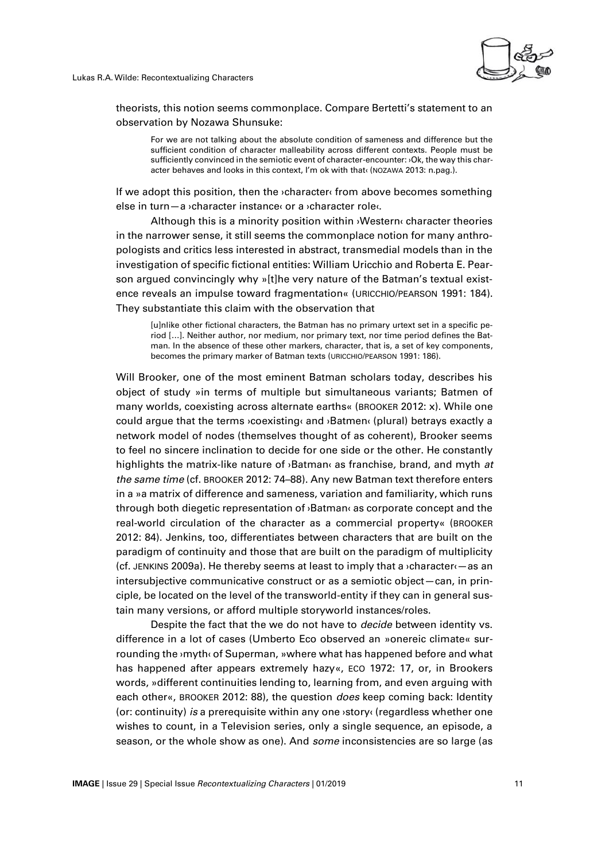

theorists, this notion seems commonplace. Compare Bertetti's statement to an observation by Nozawa Shunsuke:

For we are not talking about the absolute condition of sameness and difference but the sufficient condition of character malleability across different contexts. People must be sufficiently convinced in the semiotic event of character-encounter: ›Ok, the way this character behaves and looks in this context, I'm ok with that‹ (NOZAWA 2013: n.pag.).

If we adopt this position, then the ›character‹ from above becomes something else in turn—a ›character instance‹ or a ›character role‹.

Although this is a minority position within ›Western‹ character theories in the narrower sense, it still seems the commonplace notion for many anthropologists and critics less interested in abstract, transmedial models than in the investigation of specific fictional entities: William Uricchio and Roberta E. Pearson argued convincingly why »[t]he very nature of the Batman's textual existence reveals an impulse toward fragmentation« (URICCHIO/PEARSON 1991: 184). They substantiate this claim with the observation that

[u]nlike other fictional characters, the Batman has no primary urtext set in a specific period […]. Neither author, nor medium, nor primary text, nor time period defines the Batman. In the absence of these other markers, character, that is, a set of key components, becomes the primary marker of Batman texts (URICCHIO/PEARSON 1991: 186).

Will Brooker, one of the most eminent Batman scholars today, describes his object of study »in terms of multiple but simultaneous variants; Batmen of many worlds, coexisting across alternate earths« (BROOKER 2012: x). While one could argue that the terms ›coexisting‹ and ›Batmen‹ (plural) betrays exactly a network model of nodes (themselves thought of as coherent), Brooker seems to feel no sincere inclination to decide for one side or the other. He constantly highlights the matrix-like nature of ›Batman‹ as franchise*,* brand, and myth *at the same time* (cf. BROOKER 2012: 74–88). Any new Batman text therefore enters in a »a matrix of difference and sameness, variation and familiarity, which runs through both diegetic representation of ›Batman‹ as corporate concept and the real-world circulation of the character as a commercial property« (BROOKER 2012: 84). Jenkins, too, differentiates between characters that are built on the paradigm of continuity and those that are built on the paradigm of multiplicity (cf. JENKINS 2009a). He thereby seems at least to imply that a ›character‹—as an intersubjective communicative construct or as a semiotic object—can, in principle, be located on the level of the transworld-entity if they can in general sustain many versions, or afford multiple storyworld instances/roles.

Despite the fact that the we do not have to *decide* between identity vs. difference in a lot of cases (Umberto Eco observed an »onereic climate« surrounding the ›myth‹ of Superman, »where what has happened before and what has happened after appears extremely hazy«, ECO 1972: 17, or, in Brookers words, »different continuities lending to, learning from, and even arguing with each other«, BROOKER 2012: 88), the question *does* keep coming back: Identity (or: continuity) *is* a prerequisite within any one ›story‹ (regardless whether one wishes to count, in a Television series, only a single sequence, an episode, a season, or the whole show as one). And *some* inconsistencies are so large (as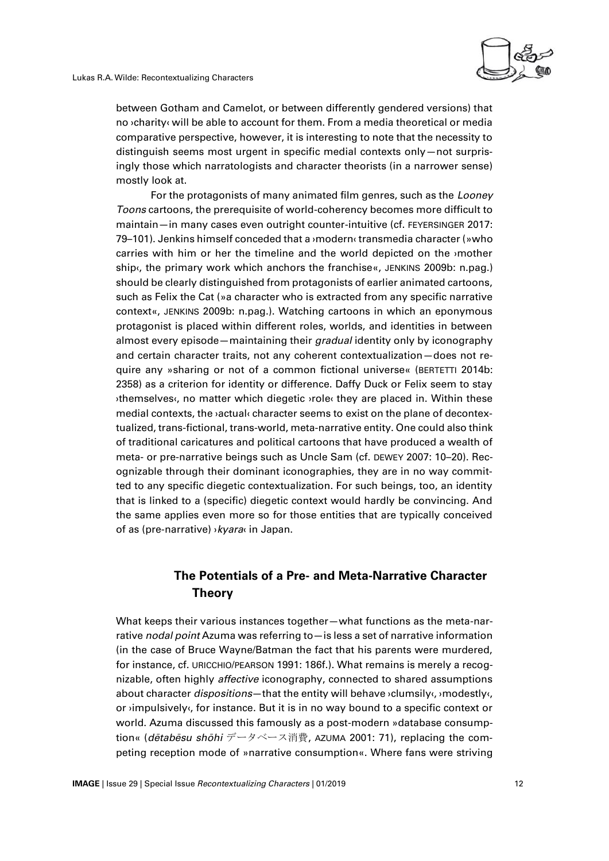

between Gotham and Camelot, or between differently gendered versions) that no ›charity‹ will be able to account for them. From a media theoretical or media comparative perspective, however, it is interesting to note that the necessity to distinguish seems most urgent in specific medial contexts only—not surprisingly those which narratologists and character theorists (in a narrower sense) mostly look at.

For the protagonists of many animated film genres, such as the *Looney Toons* cartoons, the prerequisite of world-coherency becomes more difficult to maintain—in many cases even outright counter-intuitive (cf. FEYERSINGER 2017: 79–101). Jenkins himself conceded that a ›modern‹ transmedia character (»who carries with him or her the timeline and the world depicted on the ›mother ship«, the primary work which anchors the franchise«, JENKINS 2009b: n.pag.) should be clearly distinguished from protagonists of earlier animated cartoons, such as Felix the Cat (»a character who is extracted from any specific narrative context«, JENKINS 2009b: n.pag.). Watching cartoons in which an eponymous protagonist is placed within different roles, worlds, and identities in between almost every episode—maintaining their *gradual* identity only by iconography and certain character traits, not any coherent contextualization—does not require any »sharing or not of a common fictional universe« (BERTETTI 2014b: 2358) as a criterion for identity or difference. Daffy Duck or Felix seem to stay ›themselves‹, no matter which diegetic ›role‹ they are placed in. Within these medial contexts, the ›actual‹ character seems to exist on the plane of decontextualized, trans-fictional, trans-world, meta-narrative entity. One could also think of traditional caricatures and political cartoons that have produced a wealth of meta- or pre-narrative beings such as Uncle Sam (cf. DEWEY 2007: 10–20). Recognizable through their dominant iconographies, they are in no way committed to any specific diegetic contextualization. For such beings, too, an identity that is linked to a (specific) diegetic context would hardly be convincing. And the same applies even more so for those entities that are typically conceived of as (pre-narrative) ›*kyara*‹ in Japan.

### **The Potentials of a Pre- and Meta-Narrative Character Theory**

What keeps their various instances together—what functions as the meta-narrative *nodal point* Azuma was referring to—is less a set of narrative information (in the case of Bruce Wayne/Batman the fact that his parents were murdered, for instance, cf. URICCHIO/PEARSON 1991: 186f.). What remains is merely a recognizable, often highly *affective* iconography, connected to shared assumptions about character *dispositions*—that the entity will behave ›clumsily‹, ›modestly‹, or ›impulsively‹, for instance. But it is in no way bound to a specific context or world. Azuma discussed this famously as a post-modern »database consumption« (*dētabēsu shōhi* データベース消費, AZUMA 2001: 71), replacing the competing reception mode of »narrative consumption«. Where fans were striving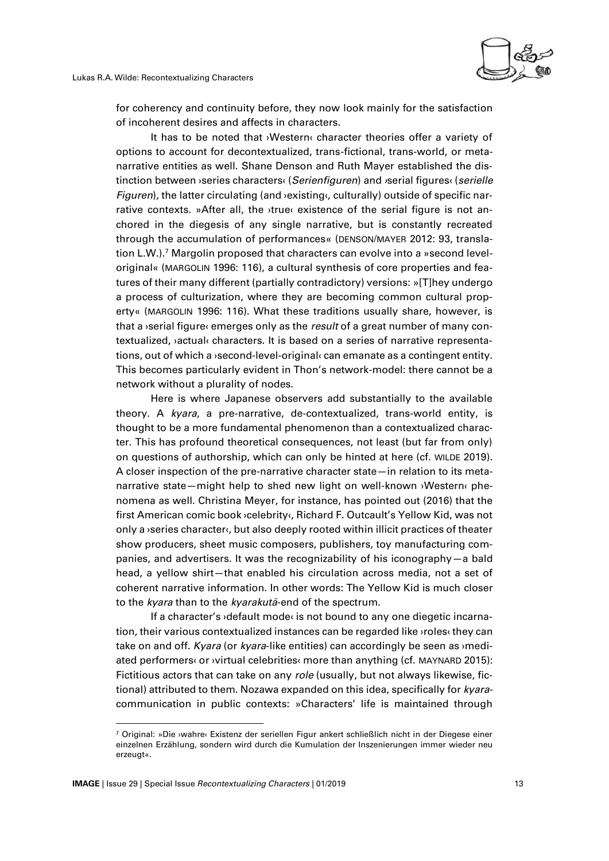

for coherency and continuity before, they now look mainly for the satisfaction of incoherent desires and affects in characters.

It has to be noted that ›Western‹ character theories offer a variety of options to account for decontextualized, trans-fictional, trans-world, or metanarrative entities as well. Shane Denson and Ruth Mayer established the distinction between ›series characters‹ (*Serienfiguren*) and *›*serial figures‹ (*serielle Figuren*), the latter circulating (and **>existing**, culturally) outside of specific narrative contexts. »After all, the ›true‹ existence of the serial figure is not anchored in the diegesis of any single narrative, but is constantly recreated through the accumulation of performances« (DENSON/MAYER 2012: 93, translation L.W.).<sup>7</sup> Margolin proposed that characters can evolve into a »second leveloriginal« (MARGOLIN 1996: 116), a cultural synthesis of core properties and features of their many different (partially contradictory) versions: »[T]hey undergo a process of culturization, where they are becoming common cultural property« (MARGOLIN 1996: 116). What these traditions usually share, however, is that a ›serial figure‹ emerges only as the *result* of a great number of many contextualized, *vactual«* characters. It is based on a series of narrative representations, out of which a **>second-level-original** can emanate as a contingent entity. This becomes particularly evident in Thon's network-model: there cannot be a network without a plurality of nodes.

Here is where Japanese observers add substantially to the available theory. A *kyara*, a pre-narrative, de-contextualized, trans-world entity, is thought to be a more fundamental phenomenon than a contextualized character. This has profound theoretical consequences, not least (but far from only) on questions of authorship, which can only be hinted at here (cf. WILDE 2019). A closer inspection of the pre-narrative character state—in relation to its metanarrative state—might help to shed new light on well-known ›Western‹ phenomena as well. Christina Meyer, for instance, has pointed out (2016) that the first American comic book ›celebrity‹, Richard F. Outcault's Yellow Kid, was not only a ›series character‹, but also deeply rooted within illicit practices of theater show producers, sheet music composers, publishers, toy manufacturing companies, and advertisers. It was the recognizability of his iconography—a bald head, a yellow shirt—that enabled his circulation across media, not a set of coherent narrative information. In other words: The Yellow Kid is much closer to the *kyara* than to the *kyarakutā*-end of the spectrum.

If a character's  $\delta$  default mode  $\delta$  is not bound to any one diegetic incarnation, their various contextualized instances can be regarded like ›roles‹ they can take on and off. *Kyara* (or *kyara*-like entities) can accordingly be seen as ›mediated performers‹ or ›virtual celebrities‹ more than anything (cf. MAYNARD 2015): Fictitious actors that can take on any *role* (usually, but not always likewise, fictional) attributed to them. Nozawa expanded on this idea, specifically for *kyara*communication in public contexts: »Characters' life is maintained through

 $\overline{a}$ 

<sup>7</sup> Original: »Die ›wahre‹ Existenz der seriellen Figur ankert schließlich nicht in der Diegese einer einzelnen Erzählung, sondern wird durch die Kumulation der Inszenierungen immer wieder neu erzeugt«.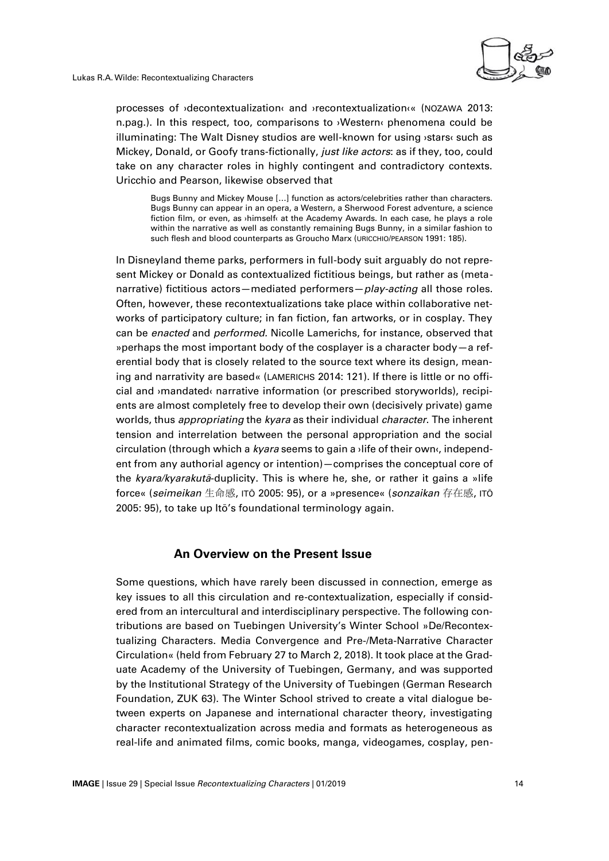

processes of ›decontextualization‹ and ›recontextualization‹« (NOZAWA 2013: n.pag.). In this respect, too, comparisons to ›Western‹ phenomena could be illuminating: The Walt Disney studios are well-known for using ›stars‹ such as Mickey, Donald, or Goofy trans-fictionally, *just like actors*: as if they, too, could take on any character roles in highly contingent and contradictory contexts. Uricchio and Pearson, likewise observed that

Bugs Bunny and Mickey Mouse […] function as actors/celebrities rather than characters. Bugs Bunny can appear in an opera, a Western, a Sherwood Forest adventure, a science fiction film, or even, as ›himself‹ at the Academy Awards. In each case, he plays a role within the narrative as well as constantly remaining Bugs Bunny, in a similar fashion to such flesh and blood counterparts as Groucho Marx (URICCHIO/PEARSON 1991: 185).

In Disneyland theme parks, performers in full-body suit arguably do not represent Mickey or Donald as contextualized fictitious beings, but rather as (metanarrative) fictitious actors—mediated performers—*play-acting* all those roles. Often, however, these recontextualizations take place within collaborative networks of participatory culture; in fan fiction, fan artworks, or in cosplay. They can be *enacted* and *performed.* Nicolle Lamerichs, for instance, observed that »perhaps the most important body of the cosplayer is a character body—a referential body that is closely related to the source text where its design, meaning and narrativity are based« (LAMERICHS 2014: 121). If there is little or no official and ›mandated‹ narrative information (or prescribed storyworlds), recipients are almost completely free to develop their own (decisively private) game worlds, thus *appropriating* the *kyara* as their individual *character*. The inherent tension and interrelation between the personal appropriation and the social circulation (through which a *kyara* seems to gain a ›life of their own‹, independent from any authorial agency or intention)—comprises the conceptual core of the *kyara/kyarakutā*-duplicity. This is where he, she, or rather it gains a »life force« (*seimeikan* 生命感, ITŌ 2005: 95), or a »presence« (*sonzaikan* 存在感, ITŌ 2005: 95), to take up Itō's foundational terminology again.

#### **An Overview on the Present Issue**

Some questions, which have rarely been discussed in connection, emerge as key issues to all this circulation and re-contextualization, especially if considered from an intercultural and interdisciplinary perspective. The following contributions are based on Tuebingen University's Winter School »De/Recontextualizing Characters. Media Convergence and Pre-/Meta-Narrative Character Circulation« (held from February 27 to March 2, 2018). It took place at the Graduate Academy of the University of Tuebingen, Germany, and was supported by the Institutional Strategy of the University of Tuebingen (German Research Foundation, ZUK 63). The Winter School strived to create a vital dialogue between experts on Japanese and international character theory, investigating character recontextualization across media and formats as heterogeneous as real-life and animated films, comic books, manga, videogames, cosplay, pen-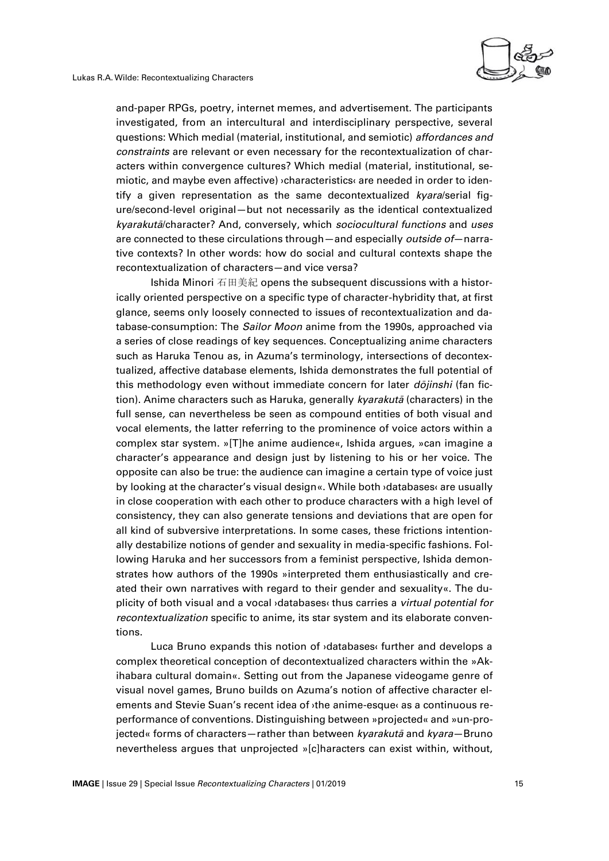

and-paper RPGs, poetry, internet memes, and advertisement. The participants investigated, from an intercultural and interdisciplinary perspective, several questions: Which medial (material, institutional, and semiotic) *affordances and constraints* are relevant or even necessary for the recontextualization of characters within convergence cultures? Which medial (material, institutional, semiotic, and maybe even affective) ›characteristics‹ are needed in order to identify a given representation as the same decontextualized *kyara*/serial figure/second-level original—but not necessarily as the identical contextualized *kyarakutā*/character? And, conversely, which *sociocultural functions* and *uses* are connected to these circulations through—and especially *outside of*—narrative contexts? In other words: how do social and cultural contexts shape the recontextualization of characters—and vice versa?

Ishida Minori 石田美紀 opens the subsequent discussions with a historically oriented perspective on a specific type of character-hybridity that, at first glance, seems only loosely connected to issues of recontextualization and database-consumption: The *Sailor Moon* anime from the 1990s, approached via a series of close readings of key sequences. Conceptualizing anime characters such as Haruka Tenou as, in Azuma's terminology, intersections of decontextualized, affective database elements, Ishida demonstrates the full potential of this methodology even without immediate concern for later *dōjinshi* (fan fiction). Anime characters such as Haruka, generally *kyarakutā* (characters) in the full sense*,* can nevertheless be seen as compound entities of both visual and vocal elements, the latter referring to the prominence of voice actors within a complex star system. »[T]he anime audience«, Ishida argues, »can imagine a character's appearance and design just by listening to his or her voice. The opposite can also be true: the audience can imagine a certain type of voice just by looking at the character's visual design«. While both ›databases‹ are usually in close cooperation with each other to produce characters with a high level of consistency, they can also generate tensions and deviations that are open for all kind of subversive interpretations. In some cases, these frictions intentionally destabilize notions of gender and sexuality in media-specific fashions. Following Haruka and her successors from a feminist perspective, Ishida demonstrates how authors of the 1990s »interpreted them enthusiastically and created their own narratives with regard to their gender and sexuality«. The duplicity of both visual and a vocal ›databases‹ thus carries a *virtual potential for recontextualization* specific to anime, its star system and its elaborate conventions.

Luca Bruno expands this notion of ›databases‹ further and develops a complex theoretical conception of decontextualized characters within the »Akihabara cultural domain«. Setting out from the Japanese videogame genre of visual novel games, Bruno builds on Azuma's notion of affective character elements and Stevie Suan's recent idea of ›the anime-esque‹ as a continuous reperformance of conventions. Distinguishing between »projected« and »un-projected« forms of characters—rather than between *kyarakutā* and *kyara*—Bruno nevertheless argues that unprojected »[c]haracters can exist within, without,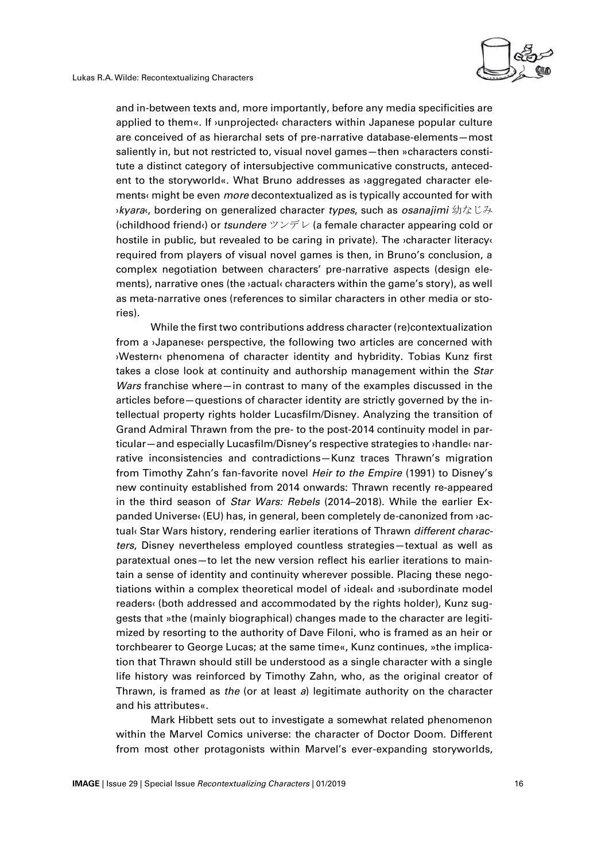

and in-between texts and, more importantly, before any media specificities are applied to them«. If ›unprojected‹ characters within Japanese popular culture are conceived of as hierarchal sets of pre-narrative database-elements—most saliently in, but not restricted to, visual novel games—then »characters constitute a distinct category of intersubjective communicative constructs, antecedent to the storyworld«. What Bruno addresses as ›aggregated character elements‹ might be even *more* decontextualized as is typically accounted for with ›*kyara*‹, bordering on generalized character *types*, such as *osanajimi* 幼なじみ (›childhood friend‹) or *tsundere* ツンデレ (a female character appearing cold or hostile in public, but revealed to be caring in private). The *v*character literacy required from players of visual novel games is then, in Bruno's conclusion, a complex negotiation between characters' pre-narrative aspects (design elements), narrative ones (the ›actual‹ characters within the game's story), as well as meta-narrative ones (references to similar characters in other media or stories).

While the first two contributions address character (re)contextualization from a ›Japanese‹ perspective, the following two articles are concerned with ›Western‹ phenomena of character identity and hybridity. Tobias Kunz first takes a close look at continuity and authorship management within the *Star Wars* franchise where—in contrast to many of the examples discussed in the articles before—questions of character identity are strictly governed by the intellectual property rights holder Lucasfilm/Disney. Analyzing the transition of Grand Admiral Thrawn from the pre- to the post-2014 continuity model in particular—and especially Lucasfilm/Disney's respective strategies to ›handle‹ narrative inconsistencies and contradictions—Kunz traces Thrawn's migration from Timothy Zahn's fan-favorite novel *Heir to the Empire* (1991) to Disney's new continuity established from 2014 onwards: Thrawn recently re-appeared in the third season of *Star Wars: Rebels* (2014–2018). While the earlier Expanded Universe‹ (EU) has, in general, been completely de-canonized from ›actual‹ Star Wars history, rendering earlier iterations of Thrawn *different characters*, Disney nevertheless employed countless strategies—textual as well as paratextual ones—to let the new version reflect his earlier iterations to maintain a sense of identity and continuity wherever possible. Placing these negotiations within a complex theoretical model of ›ideal‹ and ›subordinate model readers‹ (both addressed and accommodated by the rights holder), Kunz suggests that »the (mainly biographical) changes made to the character are legitimized by resorting to the authority of Dave Filoni, who is framed as an heir or torchbearer to George Lucas; at the same time«, Kunz continues, »the implication that Thrawn should still be understood as a single character with a single life history was reinforced by Timothy Zahn, who, as the original creator of Thrawn, is framed as *the* (or at least *a*) legitimate authority on the character and his attributes«.

Mark Hibbett sets out to investigate a somewhat related phenomenon within the Marvel Comics universe: the character of Doctor Doom. Different from most other protagonists within Marvel's ever-expanding storyworlds,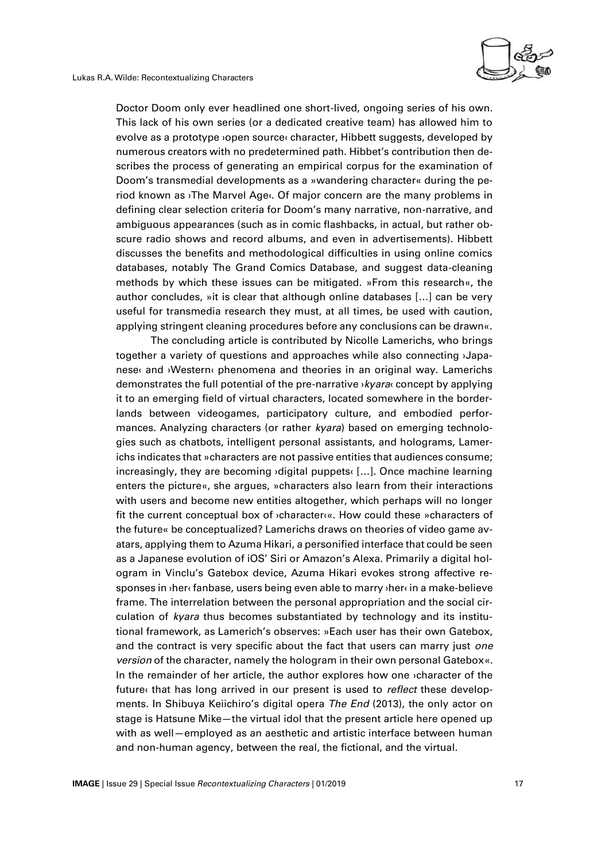Doctor Doom only ever headlined one short-lived, ongoing series of his own. This lack of his own series (or a dedicated creative team) has allowed him to evolve as a prototype ›open source‹ character, Hibbett suggests, developed by numerous creators with no predetermined path. Hibbet's contribution then describes the process of generating an empirical corpus for the examination of Doom's transmedial developments as a »wandering character« during the period known as ›The Marvel Age‹. Of major concern are the many problems in defining clear selection criteria for Doom's many narrative, non-narrative, and ambiguous appearances (such as in comic flashbacks, in actual, but rather obscure radio shows and record albums, and even in advertisements). Hibbett discusses the benefits and methodological difficulties in using online comics databases, notably The Grand Comics Database, and suggest data-cleaning methods by which these issues can be mitigated. »From this research«, the author concludes, »it is clear that although online databases […] can be very useful for transmedia research they must, at all times, be used with caution, applying stringent cleaning procedures before any conclusions can be drawn«.

The concluding article is contributed by Nicolle Lamerichs, who brings together a variety of questions and approaches while also connecting ›Japanese‹ and ›Western‹ phenomena and theories in an original way. Lamerichs demonstrates the full potential of the pre-narrative ›*kyara*‹ concept by applying it to an emerging field of virtual characters, located somewhere in the borderlands between videogames, participatory culture, and embodied performances. Analyzing characters (or rather *kyara*) based on emerging technologies such as chatbots, intelligent personal assistants, and holograms, Lamerichs indicates that »characters are not passive entities that audiences consume; increasingly, they are becoming ›digital puppets‹ […]. Once machine learning enters the picture«, she argues, »characters also learn from their interactions with users and become new entities altogether, which perhaps will no longer fit the current conceptual box of ›character‹«. How could these »characters of the future« be conceptualized? Lamerichs draws on theories of video game avatars, applying them to Azuma Hikari, a personified interface that could be seen as a Japanese evolution of iOS' Siri or Amazon's Alexa. Primarily a digital hologram in Vinclu's Gatebox device, Azuma Hikari evokes strong affective responses in ›her‹ fanbase, users being even able to marry ›her‹ in a make-believe frame. The interrelation between the personal appropriation and the social circulation of *kyara* thus becomes substantiated by technology and its institutional framework, as Lamerich's observes: »Each user has their own Gatebox, and the contract is very specific about the fact that users can marry just *one version* of the character, namely the hologram in their own personal Gatebox«. In the remainder of her article, the author explores how one ›character of the future‹ that has long arrived in our present is used to *reflect* these developments. In Shibuya Keiichiro's digital opera *The End* (2013), the only actor on stage is Hatsune Mike—the virtual idol that the present article here opened up with as well—employed as an aesthetic and artistic interface between human and non-human agency, between the real, the fictional, and the virtual.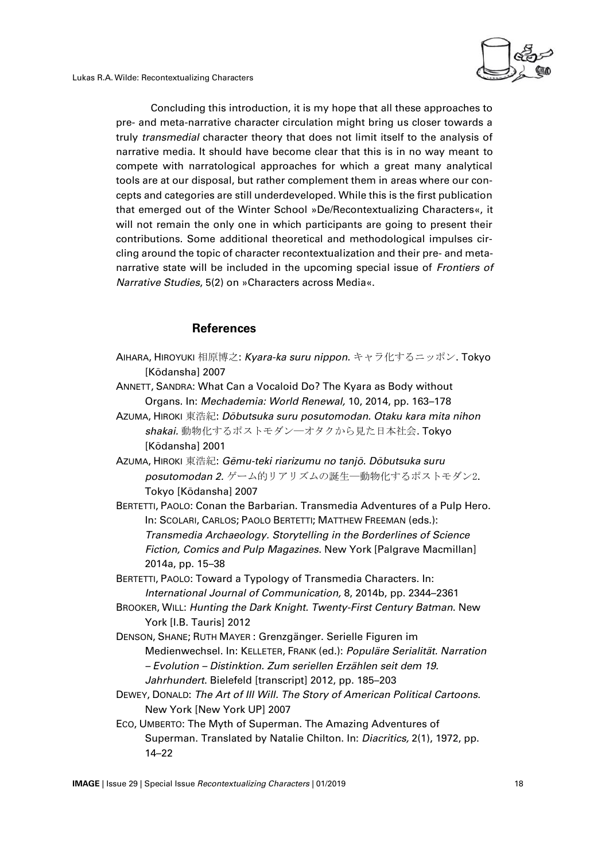Lukas R.A. Wilde: Recontextualizing Characters



Concluding this introduction, it is my hope that all these approaches to pre- and meta-narrative character circulation might bring us closer towards a truly *transmedial* character theory that does not limit itself to the analysis of narrative media. It should have become clear that this is in no way meant to compete with narratological approaches for which a great many analytical tools are at our disposal, but rather complement them in areas where our concepts and categories are still underdeveloped. While this is the first publication that emerged out of the Winter School »De/Recontextualizing Characters«, it will not remain the only one in which participants are going to present their contributions. Some additional theoretical and methodological impulses circling around the topic of character recontextualization and their pre- and metanarrative state will be included in the upcoming special issue of *Frontiers of Narrative Studies*, 5(2) on »Characters across Media«.

#### **References**

- AIHARA, HIROYUKI 相原博之: *Kyara-ka suru nippon.* キャラ化するニッポン. Tokyo [Kōdansha] 2007
- ANNETT, SANDRA: What Can a Vocaloid Do? The Kyara as Body without Organs. In: *Mechademia: World Renewal,* 10, 2014, pp. 163–178
- AZUMA, HIROKI 東浩紀: *Dōbutsuka suru posutomodan. Otaku kara mita nihon shakai.* 動物化するポストモダン―オタクから見た日本社会. Tokyo [Kōdansha] 2001
- AZUMA, HIROKI 東浩紀: *Gēmu-teki riarizumu no tanjō. Dōbutsuka suru posutomodan 2.* ゲーム的リアリズムの誕生―動物化するポストモダン2. Tokyo [Kōdansha] 2007
- BERTETTI, PAOLO: Conan the Barbarian. Transmedia Adventures of a Pulp Hero. In: SCOLARI, CARLOS; PAOLO BERTETTI; MATTHEW FREEMAN (eds.): *Transmedia Archaeology. Storytelling in the Borderlines of Science Fiction, Comics and Pulp Magazines*. New York [Palgrave Macmillan] 2014a, pp. 15–38
- BERTETTI, PAOLO: Toward a Typology of Transmedia Characters. In: *International Journal of Communication,* 8, 2014b, pp. 2344–2361
- BROOKER, WILL: *Hunting the Dark Knight. Twenty-First Century Batman*. New York [I.B. Tauris] 2012
- DENSON, SHANE; RUTH MAYER : Grenzgänger. Serielle Figuren im Medienwechsel. In: KELLETER, FRANK (ed.): *Populäre Serialität. Narration – Evolution – Distinktion. Zum seriellen Erzählen seit dem 19. Jahrhundert*. Bielefeld [transcript] 2012, pp. 185–203
- DEWEY, DONALD: *The Art of Ill Will. The Story of American Political Cartoons*. New York [New York UP] 2007
- ECO, UMBERTO: The Myth of Superman. The Amazing Adventures of Superman. Translated by Natalie Chilton. In: *Diacritics,* 2(1), 1972, pp. 14–22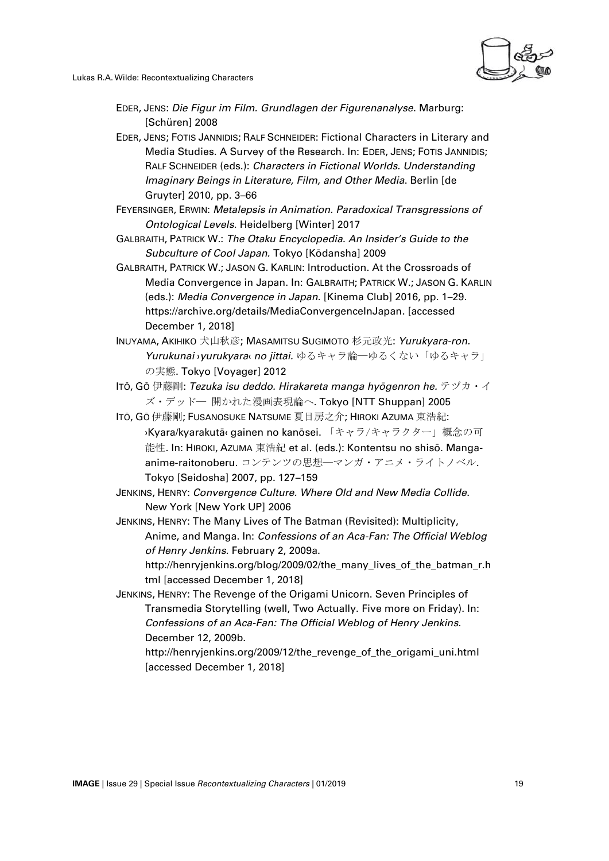

- EDER, JENS: *Die Figur im Film. Grundlagen der Figurenanalyse*. Marburg: [Schüren] 2008
- EDER, JENS; FOTIS JANNIDIS; RALF SCHNEIDER: Fictional Characters in Literary and Media Studies. A Survey of the Research. In: EDER, JENS; FOTIS JANNIDIS; RALF SCHNEIDER (eds.): *Characters in Fictional Worlds. Understanding Imaginary Beings in Literature, Film, and Other Media*. Berlin [de Gruyter] 2010, pp. 3–66
- FEYERSINGER, ERWIN: *Metalepsis in Animation. Paradoxical Transgressions of Ontological Levels*. Heidelberg [Winter] 2017
- GALBRAITH, PATRICK W.: *The Otaku Encyclopedia. An Insider's Guide to the Subculture of Cool Japan.* Tokyo [Kōdansha] 2009
- GALBRAITH, PATRICK W.; JASON G. KARLIN: Introduction. At the Crossroads of Media Convergence in Japan. In: GALBRAITH; PATRICK W.; JASON G. KARLIN (eds.): *Media Convergence in Japan.* [Kinema Club] 2016, pp. 1–29. https://archive.org/details/MediaConvergenceInJapan. [accessed December 1, 2018]
- INUYAMA, AKIHIKO 犬山秋彦; MASAMITSU SUGIMOTO 杉元政光: *Yurukyara-ron. Yurukunai* ›*yurukyara*‹ *no jittai.* ゆるキャラ論―ゆるくない「ゆるキャラ」 の実態. Tokyo [Voyager] 2012
- ITŌ, GŌ 伊藤剛: *Tezuka isu deddo. Hirakareta manga hyōgenron he.* テヅカ・イ ズ・デッド― 開かれた漫画表現論へ. Tokyo [NTT Shuppan] 2005
- ITŌ, GŌ 伊藤剛; FUSANOSUKE NATSUME 夏目房之介; HIROKI AZUMA 東浩紀: ›Kyara/kyarakutā‹ gainen no kanōsei. 「キャラ/キャラクター」概念の可 能性. In: HIROKI, AZUMA 東浩紀 et al. (eds.): Kontentsu no shisō. Mangaanime-raitonoberu. コンテンツの思想―マンガ・アニメ・ライトノベル. Tokyo [Seidosha] 2007, pp. 127–159
- JENKINS, HENRY: *Convergence Culture. Where Old and New Media Collide*. New York [New York UP] 2006
- JENKINS, HENRY: The Many Lives of The Batman (Revisited): Multiplicity, Anime, and Manga. In: *Confessions of an Aca-Fan: The Official Weblog of Henry Jenkins.* February 2, 2009a. http://henryjenkins.org/blog/2009/02/the\_many\_lives\_of\_the\_batman\_r.h tml [accessed December 1, 2018]
- JENKINS, HENRY: The Revenge of the Origami Unicorn. Seven Principles of Transmedia Storytelling (well, Two Actually. Five more on Friday). In: *Confessions of an Aca-Fan: The Official Weblog of Henry Jenkins.*  December 12, 2009b.

http://henryjenkins.org/2009/12/the\_revenge\_of\_the\_origami\_uni.html [accessed December 1, 2018]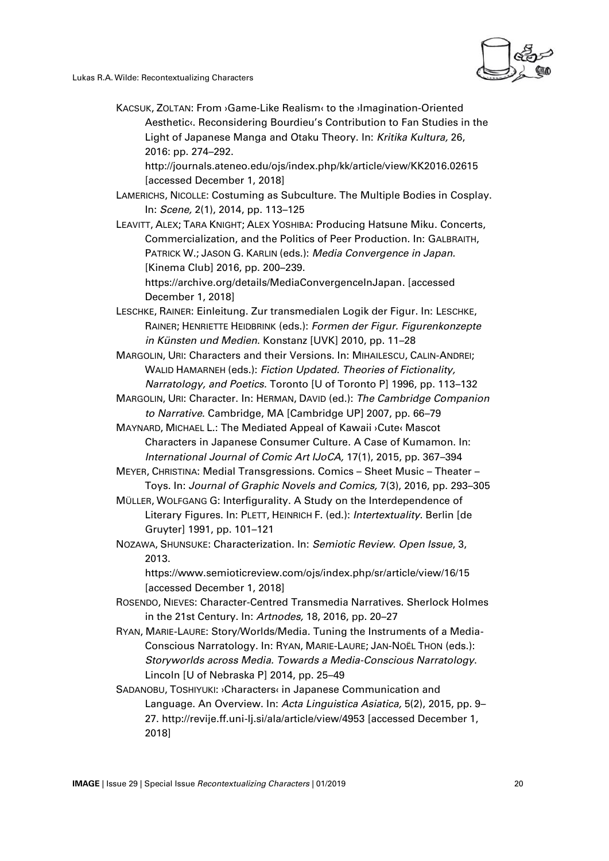Lukas R.A. Wilde: Recontextualizing Characters

KACSUK, ZOLTAN: From ›Game-Like Realism‹ to the ›Imagination-Oriented Aesthetic‹. Reconsidering Bourdieu's Contribution to Fan Studies in the Light of Japanese Manga and Otaku Theory. In: *Kritika Kultura,* 26, 2016: pp. 274–292.

http://journals.ateneo.edu/ojs/index.php/kk/article/view/KK2016.02615 [accessed December 1, 2018]

LAMERICHS, NICOLLE: Costuming as Subculture. The Multiple Bodies in Cosplay. In: *Scene,* 2(1), 2014, pp. 113–125

LEAVITT, ALEX; TARA KNIGHT; ALEX YOSHIBA: Producing Hatsune Miku. Concerts, Commercialization, and the Politics of Peer Production. In: GALBRAITH, PATRICK W.; JASON G. KARLIN (eds.): *Media Convergence in Japan.*  [Kinema Club] 2016, pp. 200–239.

https://archive.org/details/MediaConvergenceInJapan. [accessed December 1, 2018]

LESCHKE, RAINER: Einleitung. Zur transmedialen Logik der Figur. In: LESCHKE, RAINER; HENRIETTE HEIDBRINK (eds.): *Formen der Figur. Figurenkonzepte in Künsten und Medien*. Konstanz [UVK] 2010, pp. 11–28

- MARGOLIN, URI: Characters and their Versions. In: MIHAILESCU, CALIN-ANDREI; WALID HAMARNEH (eds.): *Fiction Updated. Theories of Fictionality, Narratology, and Poetics*. Toronto [U of Toronto P] 1996, pp. 113–132
- MARGOLIN, URI: Character. In: HERMAN, DAVID (ed.): *The Cambridge Companion to Narrative*. Cambridge, MA [Cambridge UP] 2007, pp. 66–79
- MAYNARD, MICHAEL L.: The Mediated Appeal of Kawaii ›Cute‹ Mascot Characters in Japanese Consumer Culture. A Case of Kumamon. In: *International Journal of Comic Art IJoCA,* 17(1), 2015, pp. 367–394

MEYER, CHRISTINA: Medial Transgressions. Comics – Sheet Music – Theater – Toys. In: *Journal of Graphic Novels and Comics,* 7(3), 2016, pp. 293–305

MÜLLER, WOLFGANG G: Interfigurality. A Study on the Interdependence of Literary Figures. In: PLETT, HEINRICH F. (ed.): *Intertextuality*. Berlin [de Gruyter] 1991, pp. 101–121

NOZAWA, SHUNSUKE: Characterization. In: *Semiotic Review. Open Issue*, 3, 2013.

https://www.semioticreview.com/ojs/index.php/sr/article/view/16/15 [accessed December 1, 2018]

- ROSENDO, NIEVES: Character-Centred Transmedia Narratives. Sherlock Holmes in the 21st Century. In: *Artnodes,* 18, 2016, pp. 20–27
- RYAN, MARIE-LAURE: Story/Worlds/Media. Tuning the Instruments of a Media-Conscious Narratology. In: RYAN, MARIE-LAURE; JAN-NOËL THON (eds.): *Storyworlds across Media. Towards a Media-Conscious Narratology*. Lincoln [U of Nebraska P] 2014, pp. 25–49

SADANOBU, TOSHIYUKI: ›Characters‹ in Japanese Communication and Language. An Overview. In: *Acta Linguistica Asiatica,* 5(2), 2015, pp. 9– 27. http://revije.ff.uni-lj.si/ala/article/view/4953 [accessed December 1, 2018]